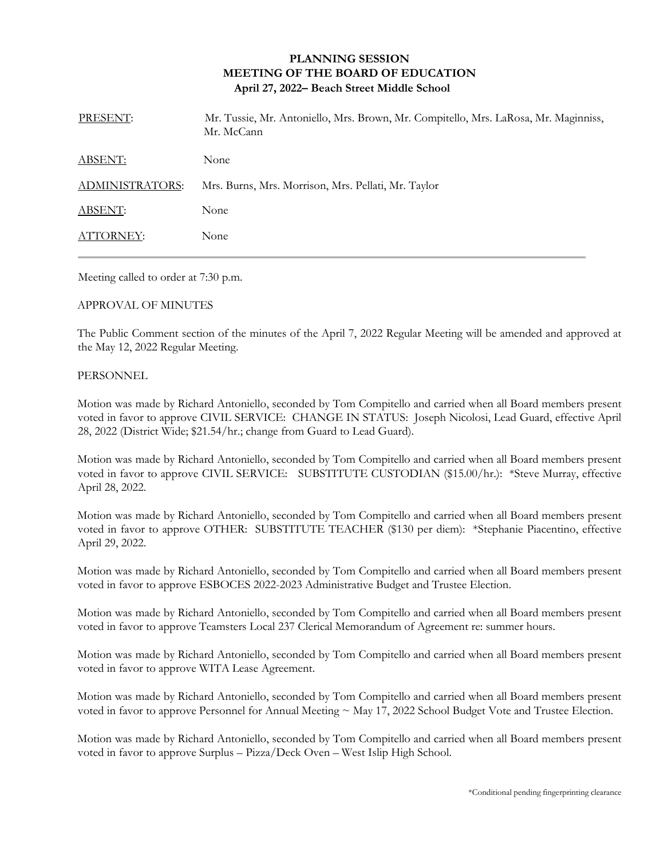## **PLANNING SESSION MEETING OF THE BOARD OF EDUCATION April 27, 2022– Beach Street Middle School**

| PRESENT:               | Mr. Tussie, Mr. Antoniello, Mrs. Brown, Mr. Compitello, Mrs. LaRosa, Mr. Maginniss,<br>Mr. McCann |
|------------------------|---------------------------------------------------------------------------------------------------|
| ABSENT:                | None                                                                                              |
| <b>ADMINISTRATORS:</b> | Mrs. Burns, Mrs. Morrison, Mrs. Pellati, Mr. Taylor                                               |
| ABSENT:                | None                                                                                              |
| ATTORNEY:              | None                                                                                              |
|                        |                                                                                                   |

Meeting called to order at 7:30 p.m.

## APPROVAL OF MINUTES

The Public Comment section of the minutes of the April 7, 2022 Regular Meeting will be amended and approved at the May 12, 2022 Regular Meeting.

## PERSONNEL

Motion was made by Richard Antoniello, seconded by Tom Compitello and carried when all Board members present voted in favor to approve CIVIL SERVICE: CHANGE IN STATUS: Joseph Nicolosi, Lead Guard, effective April 28, 2022 (District Wide; \$21.54/hr.; change from Guard to Lead Guard).

Motion was made by Richard Antoniello, seconded by Tom Compitello and carried when all Board members present voted in favor to approve CIVIL SERVICE: SUBSTITUTE CUSTODIAN (\$15.00/hr.): \*Steve Murray, effective April 28, 2022.

Motion was made by Richard Antoniello, seconded by Tom Compitello and carried when all Board members present voted in favor to approve OTHER: SUBSTITUTE TEACHER (\$130 per diem): \*Stephanie Piacentino, effective April 29, 2022.

Motion was made by Richard Antoniello, seconded by Tom Compitello and carried when all Board members present voted in favor to approve ESBOCES 2022-2023 Administrative Budget and Trustee Election.

Motion was made by Richard Antoniello, seconded by Tom Compitello and carried when all Board members present voted in favor to approve Teamsters Local 237 Clerical Memorandum of Agreement re: summer hours.

Motion was made by Richard Antoniello, seconded by Tom Compitello and carried when all Board members present voted in favor to approve WITA Lease Agreement.

Motion was made by Richard Antoniello, seconded by Tom Compitello and carried when all Board members present voted in favor to approve Personnel for Annual Meeting ~ May 17, 2022 School Budget Vote and Trustee Election.

Motion was made by Richard Antoniello, seconded by Tom Compitello and carried when all Board members present voted in favor to approve Surplus – Pizza/Deck Oven – West Islip High School.